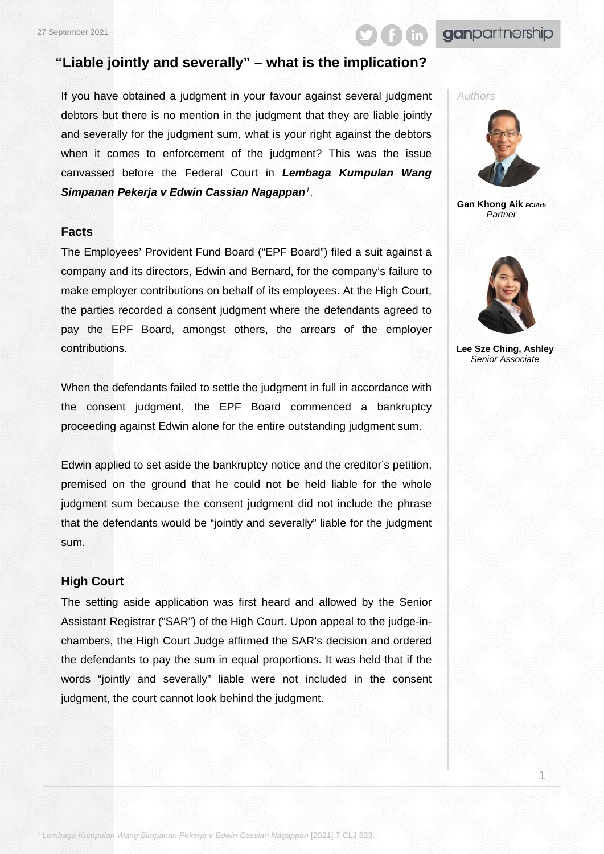# ganpartnership

## **"Liable jointly and severally" – what is the implication?**

If you have obtained a judgment in your favour against several judgment debtors but there is no mention in the judgment that they are liable jointly and severally for the judgment sum, what is your right against the debtors when it comes to enforcement of the judgment? This was the issue canvassed before the Federal Court in *Lembaga Kumpulan Wang Simpanan Pekerja v Edwin Cassian Nagappan[1](#page-0-0)*.

#### **Facts**

The Employees' Provident Fund Board ("EPF Board") filed a suit against a company and its directors, Edwin and Bernard, for the company's failure to make employer contributions on behalf of its employees. At the High Court, the parties recorded a consent judgment where the defendants agreed to pay the EPF Board, amongst others, the arrears of the employer contributions.

When the defendants failed to settle the judgment in full in accordance with the consent judgment, the EPF Board commenced a bankruptcy proceeding against Edwin alone for the entire outstanding judgment sum.

Edwin applied to set aside the bankruptcy notice and the creditor's petition, premised on the ground that he could not be held liable for the whole judgment sum because the consent judgment did not include the phrase that the defendants would be "jointly and severally" liable for the judgment sum.

#### **High Court**

<span id="page-0-0"></span>The setting aside application was first heard and allowed by the Senior Assistant Registrar ("SAR") of the High Court. Upon appeal to the judge-inchambers, the High Court Judge affirmed the SAR's decision and ordered the defendants to pay the sum in equal proportions. It was held that if the words "jointly and severally" liable were not included in the consent judgment, the court cannot look behind the judgment.



**Gan Khong Aik** *FCIArb Partner*



**Lee Sze Ching, Ashley** *Senior Associate*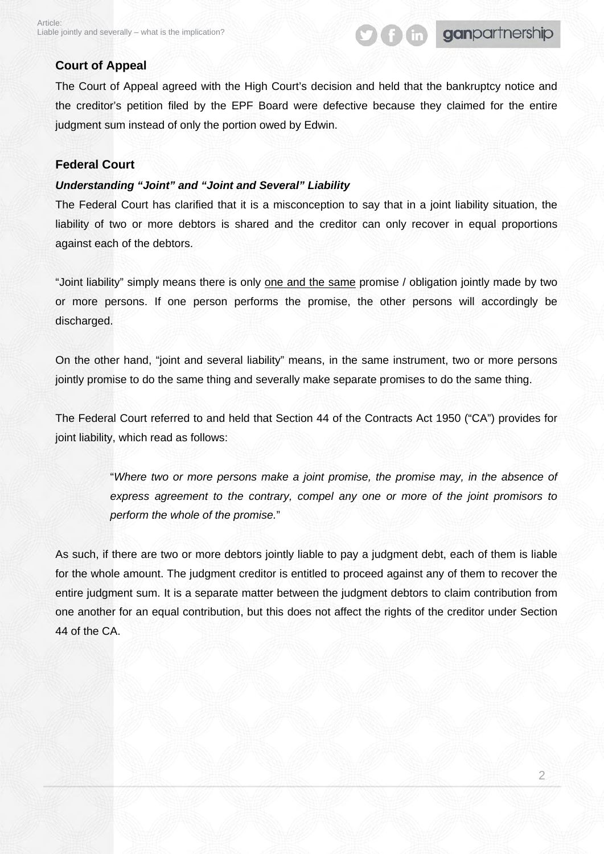# **fin** ganpartnership

#### **Court of Appeal**

The Court of Appeal agreed with the High Court's decision and held that the bankruptcy notice and the creditor's petition filed by the EPF Board were defective because they claimed for the entire judgment sum instead of only the portion owed by Edwin.

#### **Federal Court**

#### *Understanding "Joint" and "Joint and Several" Liability*

The Federal Court has clarified that it is a misconception to say that in a joint liability situation, the liability of two or more debtors is shared and the creditor can only recover in equal proportions against each of the debtors.

"Joint liability" simply means there is only one and the same promise / obligation jointly made by two or more persons. If one person performs the promise, the other persons will accordingly be discharged.

On the other hand, "joint and several liability" means, in the same instrument, two or more persons jointly promise to do the same thing and severally make separate promises to do the same thing.

The Federal Court referred to and held that Section 44 of the Contracts Act 1950 ("CA") provides for joint liability, which read as follows:

> "*Where two or more persons make a joint promise, the promise may, in the absence of express agreement to the contrary, compel any one or more of the joint promisors to perform the whole of the promise.*"

As such, if there are two or more debtors jointly liable to pay a judgment debt, each of them is liable for the whole amount. The judgment creditor is entitled to proceed against any of them to recover the entire judgment sum. It is a separate matter between the judgment debtors to claim contribution from one another for an equal contribution, but this does not affect the rights of the creditor under Section 44 of the CA.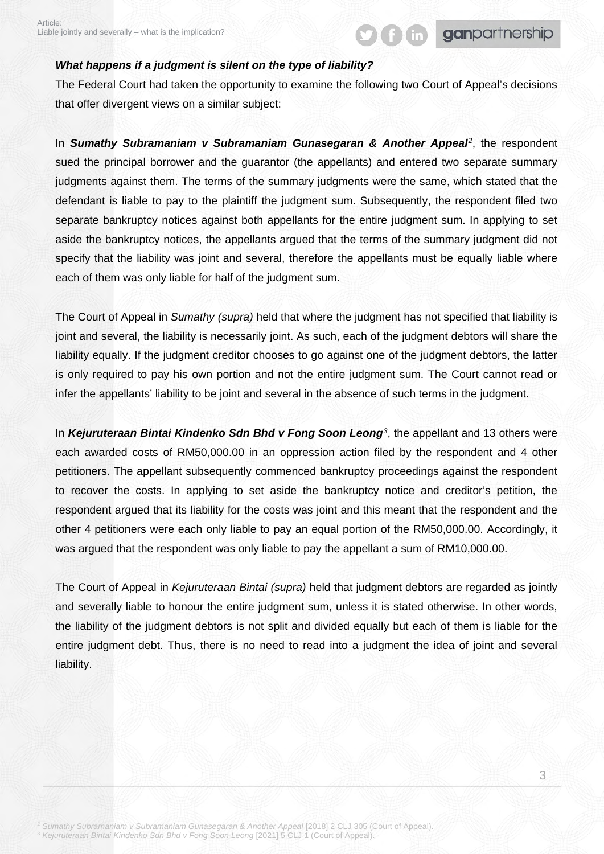#### *What happens if a judgment is silent on the type of liability?*

The Federal Court had taken the opportunity to examine the following two Court of Appeal's decisions that offer divergent views on a similar subject:

**f** find ganpartnership

In *Sumathy Subramaniam v Subramaniam Gunasegaran & Another Appeal[2](#page-2-0)*, the respondent sued the principal borrower and the guarantor (the appellants) and entered two separate summary judgments against them. The terms of the summary judgments were the same, which stated that the defendant is liable to pay to the plaintiff the judgment sum. Subsequently, the respondent filed two separate bankruptcy notices against both appellants for the entire judgment sum. In applying to set aside the bankruptcy notices, the appellants argued that the terms of the summary judgment did not specify that the liability was joint and several, therefore the appellants must be equally liable where each of them was only liable for half of the judgment sum.

The Court of Appeal in *Sumathy (supra)* held that where the judgment has not specified that liability is joint and several, the liability is necessarily joint. As such, each of the judgment debtors will share the liability equally. If the judgment creditor chooses to go against one of the judgment debtors, the latter is only required to pay his own portion and not the entire judgment sum. The Court cannot read or infer the appellants' liability to be joint and several in the absence of such terms in the judgment.

In *Kejuruteraan Bintai Kindenko Sdn Bhd v Fong Soon Leong[3](#page-2-1)*, the appellant and 13 others were each awarded costs of RM50,000.00 in an oppression action filed by the respondent and 4 other petitioners. The appellant subsequently commenced bankruptcy proceedings against the respondent to recover the costs. In applying to set aside the bankruptcy notice and creditor's petition, the respondent argued that its liability for the costs was joint and this meant that the respondent and the other 4 petitioners were each only liable to pay an equal portion of the RM50,000.00. Accordingly, it was argued that the respondent was only liable to pay the appellant a sum of RM10,000.00.

The Court of Appeal in *Kejuruteraan Bintai (supra)* held that judgment debtors are regarded as jointly and severally liable to honour the entire judgment sum, unless it is stated otherwise. In other words, the liability of the judgment debtors is not split and divided equally but each of them is liable for the entire judgment debt. Thus, there is no need to read into a judgment the idea of joint and several liability.

<span id="page-2-1"></span><span id="page-2-0"></span><sup>2</sup> *Sumathy Subramaniam v Subramaniam Gunasegaran & Another Appeal* [2018] 2 CLJ 305 (Court of Appeal). <sup>3</sup> *Kejuruteraan Bintai Kindenko Sdn Bhd v Fong Soon Leong* [2021] 5 CLJ 1 (Court of Appeal).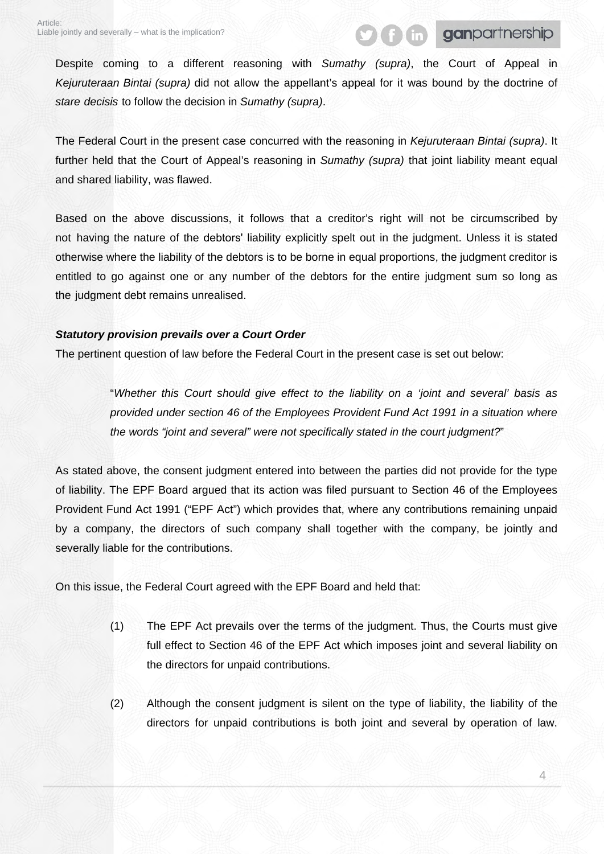Despite coming to a different reasoning with *Sumathy (supra)*, the Court of Appeal in *Kejuruteraan Bintai (supra)* did not allow the appellant's appeal for it was bound by the doctrine of *stare decisis* to follow the decision in *Sumathy (supra)*.

The Federal Court in the present case concurred with the reasoning in *Kejuruteraan Bintai (supra)*. It further held that the Court of Appeal's reasoning in *Sumathy (supra)* that joint liability meant equal and shared liability, was flawed.

Based on the above discussions, it follows that a creditor's right will not be circumscribed by not having the nature of the debtors' liability explicitly spelt out in the judgment. Unless it is stated otherwise where the liability of the debtors is to be borne in equal proportions, the judgment creditor is entitled to go against one or any number of the debtors for the entire judgment sum so long as the judgment debt remains unrealised.

#### *Statutory provision prevails over a Court Order*

The pertinent question of law before the Federal Court in the present case is set out below:

"*Whether this Court should give effect to the liability on a 'joint and several' basis as provided under section 46 of the Employees Provident Fund Act 1991 in a situation where the words "joint and several" were not specifically stated in the court judgment?*"

As stated above, the consent judgment entered into between the parties did not provide for the type of liability. The EPF Board argued that its action was filed pursuant to Section 46 of the Employees Provident Fund Act 1991 ("EPF Act") which provides that, where any contributions remaining unpaid by a company, the directors of such company shall together with the company, be jointly and severally liable for the contributions.

On this issue, the Federal Court agreed with the EPF Board and held that:

- (1) The EPF Act prevails over the terms of the judgment. Thus, the Courts must give full effect to Section 46 of the EPF Act which imposes joint and several liability on the directors for unpaid contributions.
- (2) Although the consent judgment is silent on the type of liability, the liability of the directors for unpaid contributions is both joint and several by operation of law.